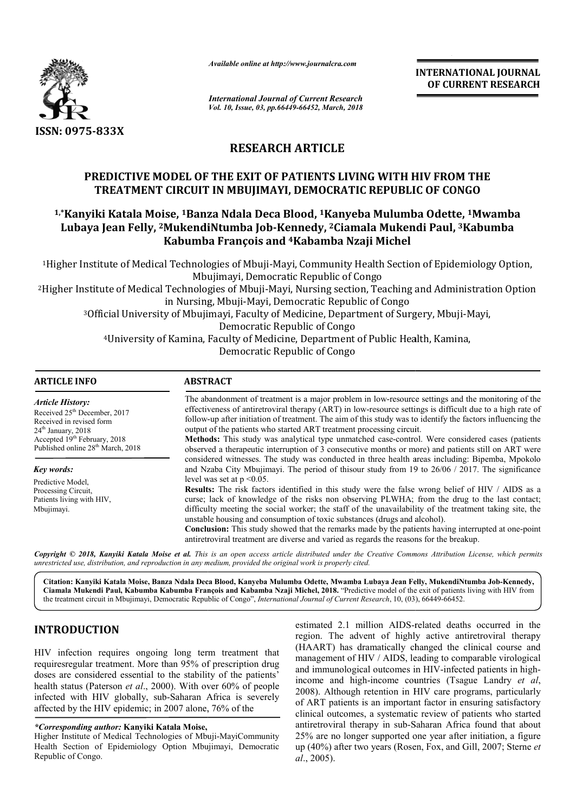

*Available online at http://www.journalcra.com*

*International Journal of Current Research Vol. 10, Issue, 03, pp.66449-66452, March, 2018*

**INTERNATIONAL JOURNAL OF CURRENT RESEARCH**

# **RESEARCH ARTICLE**

# **PREDICTIVE MODEL OF THE EXIT OF PATIENTS LIVING WITH HIV FROM THE TREATMENT CIRCUIT IN MBUJIMAYI, DEMOCRATIC REPUBLIC OF CONGO** PREDICTIVE MODEL OF THE EXIT OF PATIENTS LIVING WITH HIV FROM THE<br>TREATMENT CIRCUIT IN MBUJIMAYI, DEMOCRATIC REPUBLIC OF CONGO<br><sup>1,\*</sup>Kanyiki Katala Moise, <sup>1</sup>Banza Ndala Deca Blood, <sup>1</sup>Kanyeba Mulumba Odette, <sup>1</sup>Mwamba

# Lubaya Jean Felly, <sup>2</sup>MukendiNtumba Job-Kennedy, <sup>2</sup>Ciamala Mukendi Paul, <sup>3</sup>Kabumba **Kabumba François and 4Kabamba Nzaji Michel**

<sup>1</sup>Higher Institute of Medical Technologies of Mbuji-Mayi, Community Health Section of Epidemiology Option, Mbujimayi, Democratic Republic of Congo <sup>2</sup>Higher Institute of Medical Technologies of Mbuji-Mayi, Nursing section, Teaching and Administration Option<br>in Nursing, Mbuji-Mayi, Democratic Republic of Congo<br><sup>3</sup>Official University of Mbujimayi, Faculty of Medicine, in Nursing, Mbuji Mbuji-Mayi, Democratic Republic of Congo <sup>3</sup>Official University of Mbujimayi, Faculty of Medicine, Department of Surgery, Mbuji 4University of Kamina, Faculty of Medicine, Department of Public Health, Kamina, University Democratic Republic of Congo Department Health, Democratic Republic of Congo

#### **ARTICLE INFO ABSTRACT**

The abandonment of treatment is a major problem in low-resource settings and the monitoring of the effectiveness of antiretroviral therapy (ART) in low-resource settings is difficult due to a high rate of follow-up after initiation of treatment. The aim of this study was to identify the factors influencing the follow-up after initiation of treatment. The aim of this study was to identify the output of the patients who started ART treatment processing circuit. Methods: This study was analytical type unmatched case-control. Were considered cases (patients observed a therapeutic interruption of 3 consecutive months or more) and patients still on ART were considered witnesses. The study was conducted in three health areas including: Bipemba, Mpokolo and Nzaba City Mbujimayi. The period of thisour study from 19 to 26/06 / 2017. The significance level was set at  $p \le 0.05$ . **Results:**  The risk factors identified in this study were the false wrong belief of HIV / AIDS as a curse; lack of knowledge of the risks non observing PLWHA; from the drug to the last contact; difficulty meeting the social worker; the staff of the unavailability of the treatment taking site, the difficulty meeting the social worker; the staff of the unavailability of the unstable housing and consumption of toxic substances (drugs and alcohol). **Conclusion:** This study showed that the remarks made by the patients having interrupted at one-point antiretroviral treatment are diverse and varied as regards the reasons for the breakup. *Article History:* Received 25<sup>th</sup> December, 2017 Received in revised form  $24<sup>th</sup>$  January,  $2018$ Accepted 19<sup>th</sup> February, 2018 Published online  $28<sup>th</sup>$  March, 2018 *Key words:* Predictive Model, Processing Circuit, Patients living with HIV, Mbujimayi. observed a therapeutic interruption of 3 consecutive months or more) and patients still on ART were considered witnesses. The study was conducted in three health areas including: Bipemba, Mpokolo and Nzaba City Mbujimayi.

Copyright © 2018, Kanyiki Katala Moise et al. This is an open access article distributed under the Creative Commons Attribution License, which permits *unrestricted use, distribution, and reproduction in any medium, provided the original work is properly cited.*

**Citation: Kanyiki Katala Moise, Banza Ndala Deca Blood, Kanyeba Mulumba Odette, Mwamba Lubaya Jean Felly, MukendiNtumba Job-Kennedy,** Ciamala Mukendi Paul, Kabumba Kabumba François and Kabamba Nzaji Michel, 2018. "Predictive model of the exit of patients living with HIV from<br>the treatment circuit in Mbujimayi, Democratic Republic of Congo", *Internationa* the treatment circuit in Mbujimayi, Democratic Republic of Congo", *International Journal of Current Research*, 10, (03),

# **INTRODUCTION**

HIV infection requires ongoing long term treatment that requiresregular treatment. More than 95% of prescription drug doses are considered essential to the stability of the patients' health status (Paterson *et al*., 2000). With over 60% of people infected with HIV globally, sub-Saharan Africa is severely<br>affected by the HIV epidemic; in 2007 alone, 76% of the<br>
\*Corresponding author: Kanyiki Katala Moise,<br>
Higher Institute of Medical Technologies of Mbuji-MayiCommun affected by the HIV epidemic; in 2007 alone, 76% of the

#### *\*Corresponding author:* **Kanyiki Katala Moise,**

Higher Institute of Medical Technologies of Mbuji-MaviCommunity Health Section of Epidemiology Option Mbujimayi, Democratic Republic of Congo.

estimated 2.1 million AIDS-related deaths occurred in the region. The advent of highly active antiretroviral therapy (HAART) has dramatically changed the clinical course and estimated 2.1 million AIDS-related deaths occurred in the region. The advent of highly active antiretroviral therapy (HAART) has dramatically changed the clinical course and management of HIV / AIDS, leading to comparable and immunological outcomes in HIV-infected patients in highincome and high-income countries (Tsague Landry *et al*, 2008). Although retention in HIV care programs, particularly of ART patients is an important factor in ensuring satisfactory clinical outcomes, a systematic review of patients who started antiretroviral therapy in sub-Saharan Africa found that abo 25% are no longer supported one year after initiation, a figure 25% are no longer supported one year after initiation, a figure up (40%) after two years (Rosen, Fox, and Gill, 2007; Sterne *et al*., 2005). 08). Although retention in HIV care programs, particularly ART patients is an important factor in ensuring satisfactory nical outcomes, a systematic review of patients who started irretroviral therapy in sub-Saharan Africa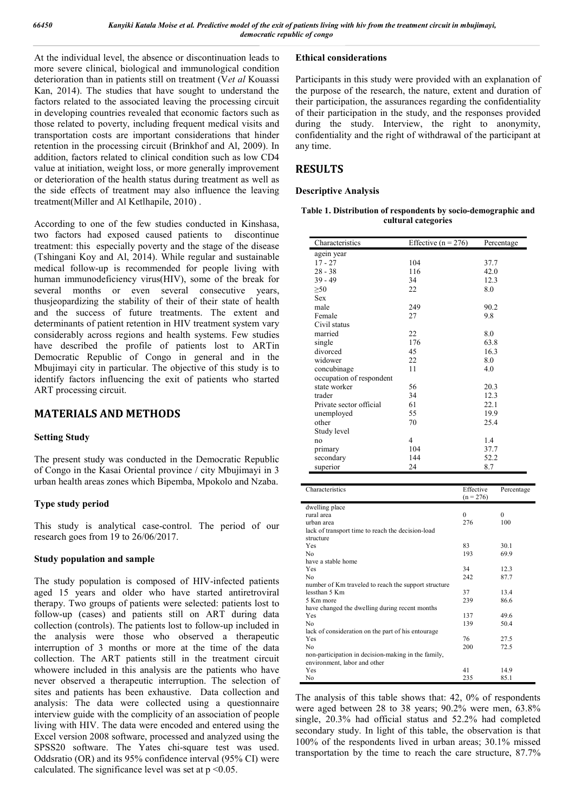At the individual level, the absence or discontinuation leads to more severe clinical, biological and immunological condition deterioration than in patients still on treatment (V*et al* Kouassi Kan, 2014). The studies that have sought to understand the factors related to the associated leaving the processing circuit in developing countries revealed that economic factors such as those related to poverty, including frequent medical visits and transportation costs are important considerations that hinder retention in the processing circuit (Brinkhof and Al, 2009). In addition, factors related to clinical condition such as low CD4 value at initiation, weight loss, or more generally improvement or deterioration of the health status during treatment as well as the side effects of treatment may also influence the leaving treatment(Miller and Al Ketlhapile, 2010) .

According to one of the few studies conducted in Kinshasa, two factors had exposed caused patients to discontinue treatment: this especially poverty and the stage of the disease (Tshingani Koy and Al, 2014). While regular and sustainable medical follow-up is recommended for people living with human immunodeficiency virus(HIV), some of the break for several months or even several consecutive years, thusjeopardizing the stability of their of their state of health and the success of future treatments. The extent and determinants of patient retention in HIV treatment system vary considerably across regions and health systems. Few studies have described the profile of patients lost to ARTin Democratic Republic of Congo in general and in the Mbujimayi city in particular. The objective of this study is to identify factors influencing the exit of patients who started ART processing circuit.

# **MATERIALS AND METHODS**

#### **Setting Study**

The present study was conducted in the Democratic Republic of Congo in the Kasai Oriental province / city Mbujimayi in 3 urban health areas zones which Bipemba, Mpokolo and Nzaba.

### **Type study period**

This study is analytical case-control. The period of our research goes from 19 to 26/06/2017.

#### **Study population and sample**

The study population is composed of HIV-infected patients aged 15 years and older who have started antiretroviral therapy. Two groups of patients were selected: patients lost to follow-up (cases) and patients still on ART during data collection (controls). The patients lost to follow-up included in the analysis were those who observed a therapeutic interruption of 3 months or more at the time of the data collection. The ART patients still in the treatment circuit whowere included in this analysis are the patients who have never observed a therapeutic interruption. The selection of sites and patients has been exhaustive. Data collection and analysis: The data were collected using a questionnaire interview guide with the complicity of an association of people living with HIV. The data were encoded and entered using the Excel version 2008 software, processed and analyzed using the SPSS20 software. The Yates chi-square test was used. Oddsratio (OR) and its 95% confidence interval (95% CI) were calculated. The significance level was set at  $p \le 0.05$ .

#### **Ethical considerations**

Participants in this study were provided with an explanation of the purpose of the research, the nature, extent and duration of their participation, the assurances regarding the confidentiality of their participation in the study, and the responses provided during the study. Interview, the right to anonymity, confidentiality and the right of withdrawal of the participant at any time.

## **RESULTS**

#### **Descriptive Analysis**

**Table 1. Distribution of respondents by socio-demographic and cultural categories**

| Effective ( $n = 276$ )<br>Percentage |
|---------------------------------------|
|                                       |
| 37.7                                  |
| 42.0                                  |
| 12.3                                  |
| 8.0                                   |
|                                       |
| 90.2                                  |
| 9.8                                   |
|                                       |
| 8.0                                   |
| 63.8                                  |
| 16.3                                  |
| 8.0                                   |
| 4.0                                   |
|                                       |
| 20.3                                  |
| 12.3                                  |
| 22.1                                  |
| 19.9                                  |
| 25.4                                  |
|                                       |
| 1.4                                   |
| 37.7                                  |
| 52.2                                  |
| 8.7                                   |
|                                       |

| Characteristics                                      | <b>Ellective</b><br>$(n = 276)$ |          |
|------------------------------------------------------|---------------------------------|----------|
| dwelling place                                       |                                 |          |
| rural area                                           | $\Omega$                        | $\theta$ |
| urban area                                           | 276                             | 100      |
| lack of transport time to reach the decision-load    |                                 |          |
| structure                                            |                                 |          |
| Yes                                                  | 83                              | 30.1     |
| N <sub>0</sub>                                       | 193                             | 69.9     |
| have a stable home                                   |                                 |          |
| Yes                                                  | 34                              | 12.3     |
| No                                                   | 242                             | 87.7     |
| number of Km traveled to reach the support structure |                                 |          |
| $less than 5$ Km                                     | 37                              | 13.4     |
| 5 Km more                                            | 239                             | 86.6     |
| have changed the dwelling during recent months       |                                 |          |
| Yes                                                  | 137                             | 49.6     |
| No                                                   | 139                             | 50.4     |
| lack of consideration on the part of his entourage   |                                 |          |
| Yes                                                  | 76                              | 27.5     |
| N <sub>0</sub>                                       | 200                             | 72.5     |
| non-participation in decision-making in the family,  |                                 |          |
| environment, labor and other                         |                                 |          |
| Yes                                                  | 41                              | 14.9     |
| No                                                   | 235                             | 85.1     |

The analysis of this table shows that: 42, 0% of respondents were aged between 28 to 38 years; 90.2% were men, 63.8% single, 20.3% had official status and 52.2% had completed secondary study. In light of this table, the observation is that 100% of the respondents lived in urban areas; 30.1% missed transportation by the time to reach the care structure, 87.7%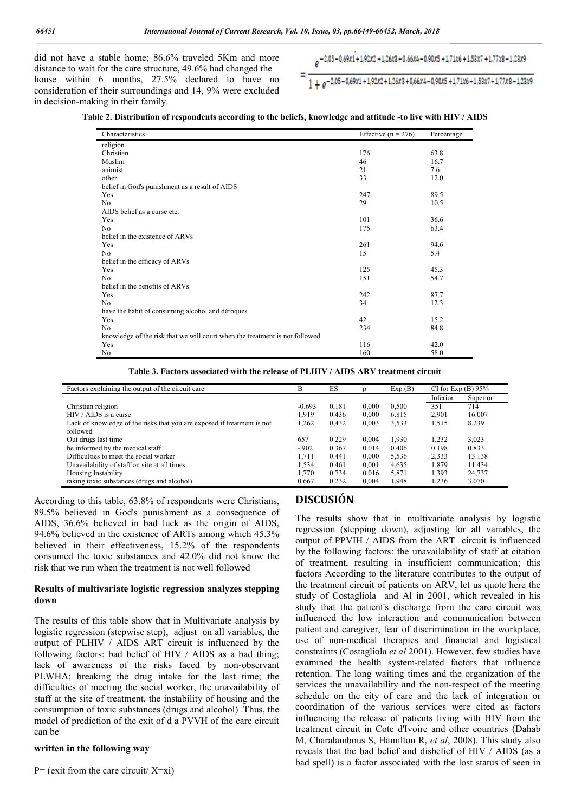did not have a stable home; 86.6% traveled 5Km and more distance to wait for the care structure, 49.6% had changed the house within 6 months, 27.5% declared to have no consideration of their surroundings and 14, 9% were excluded in decision-making in their family.

 $a = 2,05 - 0,69x1 + 1,92x2 + 1,26x3 + 0,66x4 - 0,90x5 + 1,71x6 + 1,53x7 + 1,77x8 - 1,23x9$ 

 $\frac{1}{1+e^{-2,05-0,69x1+1,92x2+1,26x3+0,66x4-0,90x5+1,71x6+1,53x7+1,77x8-1,23x9}}$ 

|  |  | Table 2. Distribution of respondents according to the beliefs, knowledge and attitude -to live with HIV / AIDS |  |  |
|--|--|----------------------------------------------------------------------------------------------------------------|--|--|
|--|--|----------------------------------------------------------------------------------------------------------------|--|--|

| Characteristics                                                             | Effective ( $n = 276$ ) | Percentage |  |
|-----------------------------------------------------------------------------|-------------------------|------------|--|
| religion                                                                    |                         |            |  |
| Christian                                                                   | 176                     | 63.8       |  |
| Muslim                                                                      | 46                      | 16.7       |  |
| animist                                                                     | 21                      | 7.6        |  |
| other                                                                       | 33                      | 12.0       |  |
| belief in God's punishment as a result of AIDS                              |                         |            |  |
| Yes                                                                         | 247                     | 89.5       |  |
| N <sub>0</sub>                                                              | 29                      | 10.5       |  |
| AIDS belief as a curse etc.                                                 |                         |            |  |
| Yes                                                                         | 101                     | 36.6       |  |
| N <sub>0</sub>                                                              | 175                     | 63.4       |  |
| belief in the existence of ARVs                                             |                         |            |  |
| Yes                                                                         | 261                     | 94.6       |  |
| No                                                                          | 15                      | 5.4        |  |
| belief in the efficacy of ARVs                                              |                         |            |  |
| Yes                                                                         | 125                     | 45.3       |  |
| No                                                                          | 151                     | 54.7       |  |
| belief in the benefits of ARVs                                              |                         |            |  |
| Yes                                                                         | 242                     | 87.7       |  |
| No                                                                          | 34                      | 12.3       |  |
| have the habit of consuming alcohol and déroques                            |                         |            |  |
| Yes                                                                         | 42                      | 15.2       |  |
| No                                                                          | 234                     | 84.8       |  |
| knowledge of the risk that we will court when the treatment is not followed |                         |            |  |
| Yes                                                                         | 116                     | 42.0       |  |
| No                                                                          | 160                     | 58.0       |  |

**Table 3. Factors associated with the release of PLHIV / AIDS ARV treatment circuit**

| Factors explaining the output of the circuit care                       | В        | ES    |       | Exp(B) |          | CI for Exp $(B)$ 95% |  |
|-------------------------------------------------------------------------|----------|-------|-------|--------|----------|----------------------|--|
|                                                                         |          |       |       |        | Inferior | Superior             |  |
| Christian religion                                                      | $-0.693$ | 0.181 | 0.000 | 0.500  | 351      | 714                  |  |
| $HIV / AIDS$ is a curse                                                 | 1.919    | 0.436 | 0.000 | 6.815  | 2,901    | 16.007               |  |
| Lack of knowledge of the risks that you are exposed if treatment is not | 1,262    | 0,432 | 0,003 | 3,533  | 1,515    | 8.239                |  |
| followed                                                                |          |       |       |        |          |                      |  |
| Out drugs last time                                                     | 657      | 0.229 | 0.004 | 1,930  | 1.232    | 3,023                |  |
| be informed by the medical staff                                        | $-902$   | 0.367 | 0.014 | 0.406  | 0.198    | 0.833                |  |
| Difficulties to meet the social worker                                  | 1.711    | 0.441 | 0.000 | 5,536  | 2.333    | 13.138               |  |
| Unavailability of staff on site at all times                            | 1,534    | 0.461 | 0.001 | 4,635  | 1,879    | 11.434               |  |
| Housing Instability                                                     | 1.770    | 0.734 | 0.016 | 5,871  | 1,393    | 24,737               |  |
| taking toxic substances (drugs and alcohol)                             | 0.667    | 0.232 | 0.004 | 1,948  | 1,236    | 3,070                |  |

According to this table, 63.8% of respondents were Christians, 89.5% believed in God's punishment as a consequence of AIDS, 36.6% believed in bad luck as the origin of AIDS, 94.6% believed in the existence of ARTs among which 45.3% believed in their effectiveness, 15.2% of the respondents consumed the toxic substances and 42.0% did not know the risk that we run when the treatment is not well followed

#### **Results of multivariate logistic regression analyzes stepping down**

The results of this table show that in Multivariate analysis by logistic regression (stepwise step), adjust on all variables, the output of PLHIV / AIDS ART circuit is influenced by the following factors: bad belief of HIV / AIDS as a bad thing; lack of awareness of the risks faced by non-observant PLWHA; breaking the drug intake for the last time; the difficulties of meeting the social worker, the unavailability of staff at the site of treatment, the instability of housing and the consumption of toxic substances (drugs and alcohol) .Thus, the model of prediction of the exit of d a PVVH of the care circuit can be

#### **written in the following way**

# **DISCUSIÓN**

The results show that in multivariate analysis by logistic regression (stepping down), adjusting for all variables, the output of PPVIH / AIDS from the ART circuit is influenced by the following factors: the unavailability of staff at citation of treatment, resulting in insufficient communication; this factors According to the literature contributes to the output of the treatment circuit of patients on ARV, let us quote here the study of Costagliola and Al in 2001, which revealed in his study that the patient's discharge from the care circuit was influenced the low interaction and communication between patient and caregiver, fear of discrimination in the workplace, use of non-medical therapies and financial and logistical constraints (Costagliola *et al* 2001). However, few studies have examined the health system-related factors that influence retention. The long waiting times and the organization of the services the unavailability and the non-respect of the meeting schedule on the city of care and the lack of integration or coordination of the various services were cited as factors influencing the release of patients living with HIV from the treatment circuit in Cote d'Ivoire and other countries (Dahab M, Charalambous S, Hamilton R, *et al*, 2008). This study also reveals that the bad belief and disbelief of HIV / AIDS (as a bad spell) is a factor associated with the lost status of seen in